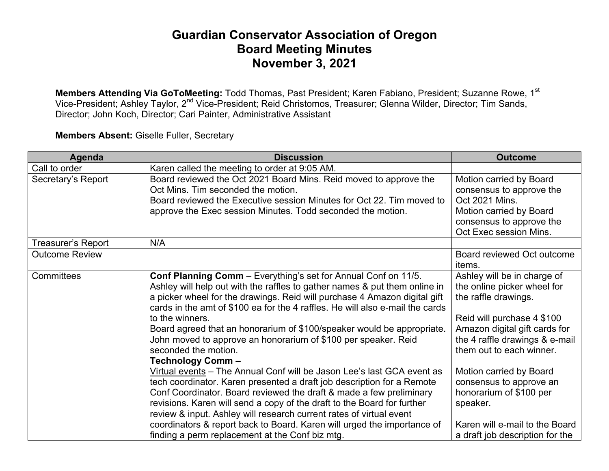## **Guardian Conservator Association of Oregon Board Meeting Minutes November 3, 2021**

**Members Attending Via GoToMeeting:** Todd Thomas, Past President; Karen Fabiano, President; Suzanne Rowe, 1s<sup>t</sup> Vice-President; Ashley Taylor, 2nd Vice-President; Reid Christomos, Treasurer; Glenna Wilder, Director; Tim Sands, Director; John Koch, Director; Cari Painter, Administrative Assistant

**Members Absent:** Giselle Fuller, Secretary

| Agenda                    | <b>Discussion</b>                                                                                                                                                                                                                                                                                                                                                                                                                                                                                                                                                                                      | <b>Outcome</b>                                                                                                                                                                                                                             |
|---------------------------|--------------------------------------------------------------------------------------------------------------------------------------------------------------------------------------------------------------------------------------------------------------------------------------------------------------------------------------------------------------------------------------------------------------------------------------------------------------------------------------------------------------------------------------------------------------------------------------------------------|--------------------------------------------------------------------------------------------------------------------------------------------------------------------------------------------------------------------------------------------|
| Call to order             | Karen called the meeting to order at 9:05 AM.                                                                                                                                                                                                                                                                                                                                                                                                                                                                                                                                                          |                                                                                                                                                                                                                                            |
| Secretary's Report        | Board reviewed the Oct 2021 Board Mins. Reid moved to approve the<br>Oct Mins. Tim seconded the motion.<br>Board reviewed the Executive session Minutes for Oct 22. Tim moved to<br>approve the Exec session Minutes. Todd seconded the motion.                                                                                                                                                                                                                                                                                                                                                        | Motion carried by Board<br>consensus to approve the<br>Oct 2021 Mins.<br>Motion carried by Board<br>consensus to approve the<br>Oct Exec session Mins.                                                                                     |
| <b>Treasurer's Report</b> | N/A                                                                                                                                                                                                                                                                                                                                                                                                                                                                                                                                                                                                    |                                                                                                                                                                                                                                            |
| <b>Outcome Review</b>     |                                                                                                                                                                                                                                                                                                                                                                                                                                                                                                                                                                                                        | Board reviewed Oct outcome<br><i>items.</i>                                                                                                                                                                                                |
| Committees                | Conf Planning Comm - Everything's set for Annual Conf on 11/5.<br>Ashley will help out with the raffles to gather names & put them online in<br>a picker wheel for the drawings. Reid will purchase 4 Amazon digital gift<br>cards in the amt of \$100 ea for the 4 raffles. He will also e-mail the cards<br>to the winners.<br>Board agreed that an honorarium of \$100/speaker would be appropriate.<br>John moved to approve an honorarium of \$100 per speaker. Reid<br>seconded the motion.<br><b>Technology Comm-</b><br>Virtual events - The Annual Conf will be Jason Lee's last GCA event as | Ashley will be in charge of<br>the online picker wheel for<br>the raffle drawings.<br>Reid will purchase 4 \$100<br>Amazon digital gift cards for<br>the 4 raffle drawings & e-mail<br>them out to each winner.<br>Motion carried by Board |
|                           | tech coordinator. Karen presented a draft job description for a Remote<br>Conf Coordinator. Board reviewed the draft & made a few preliminary<br>revisions. Karen will send a copy of the draft to the Board for further<br>review & input. Ashley will research current rates of virtual event<br>coordinators & report back to Board. Karen will urged the importance of<br>finding a perm replacement at the Conf biz mtg.                                                                                                                                                                          | consensus to approve an<br>honorarium of \$100 per<br>speaker.<br>Karen will e-mail to the Board<br>a draft job description for the                                                                                                        |